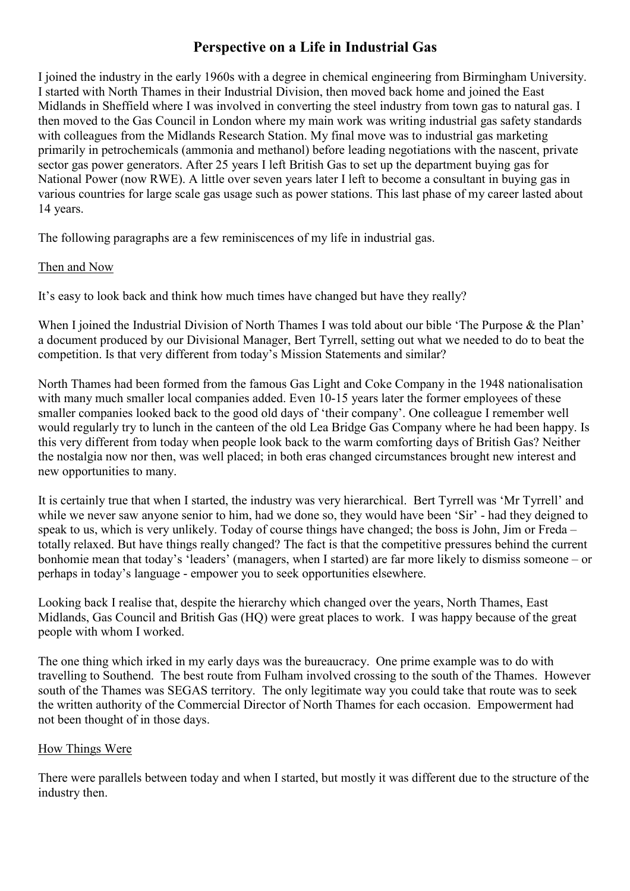# **Perspective on a Life in Industrial Gas**

I joined the industry in the early 1960s with a degree in chemical engineering from Birmingham University. I started with North Thames in their Industrial Division, then moved back home and joined the East Midlands in Sheffield where I was involved in converting the steel industry from town gas to natural gas. I then moved to the Gas Council in London where my main work was writing industrial gas safety standards with colleagues from the Midlands Research Station. My final move was to industrial gas marketing primarily in petrochemicals (ammonia and methanol) before leading negotiations with the nascent, private sector gas power generators. After 25 years I left British Gas to set up the department buying gas for National Power (now RWE). A little over seven years later I left to become a consultant in buying gas in various countries for large scale gas usage such as power stations. This last phase of my career lasted about 14 years.

The following paragraphs are a few reminiscences of my life in industrial gas.

## Then and Now

It's easy to look back and think how much times have changed but have they really?

When I joined the Industrial Division of North Thames I was told about our bible 'The Purpose & the Plan' a document produced by our Divisional Manager, Bert Tyrrell, setting out what we needed to do to beat the competition. Is that very different from today's Mission Statements and similar?

North Thames had been formed from the famous Gas Light and Coke Company in the 1948 nationalisation with many much smaller local companies added. Even 10-15 years later the former employees of these smaller companies looked back to the good old days of 'their company'. One colleague I remember well would regularly try to lunch in the canteen of the old Lea Bridge Gas Company where he had been happy. Is this very different from today when people look back to the warm comforting days of British Gas? Neither the nostalgia now nor then, was well placed; in both eras changed circumstances brought new interest and new opportunities to many.

It is certainly true that when I started, the industry was very hierarchical. Bert Tyrrell was 'Mr Tyrrell' and while we never saw anyone senior to him, had we done so, they would have been 'Sir' - had they deigned to speak to us, which is very unlikely. Today of course things have changed; the boss is John, Jim or Freda – totally relaxed. But have things really changed? The fact is that the competitive pressures behind the current bonhomie mean that today's 'leaders' (managers, when I started) are far more likely to dismiss someone – or perhaps in today's language - empower you to seek opportunities elsewhere.

Looking back I realise that, despite the hierarchy which changed over the years, North Thames, East Midlands, Gas Council and British Gas (HQ) were great places to work. I was happy because of the great people with whom I worked.

The one thing which irked in my early days was the bureaucracy. One prime example was to do with travelling to Southend. The best route from Fulham involved crossing to the south of the Thames. However south of the Thames was SEGAS territory. The only legitimate way you could take that route was to seek the written authority of the Commercial Director of North Thames for each occasion. Empowerment had not been thought of in those days.

#### How Things Were

There were parallels between today and when I started, but mostly it was different due to the structure of the industry then.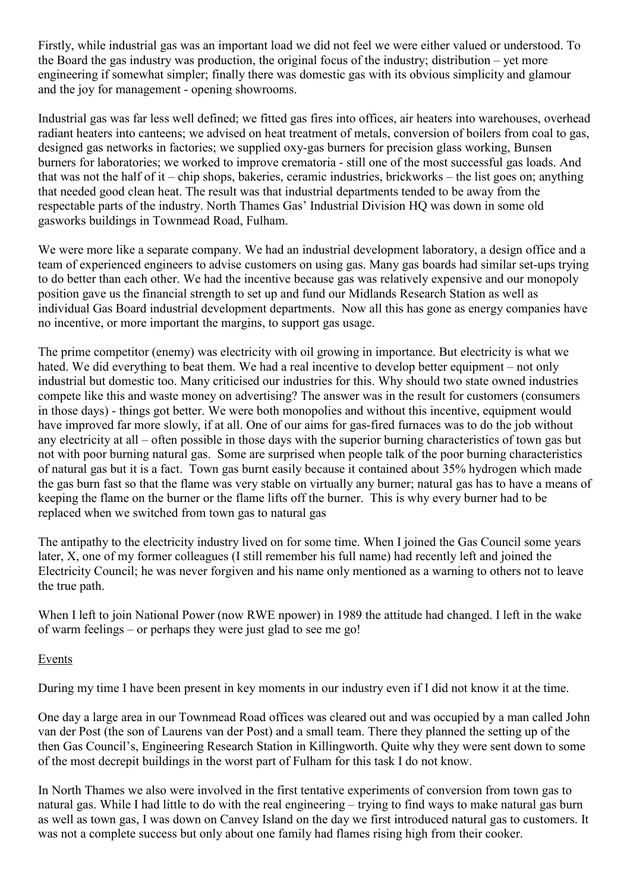Firstly, while industrial gas was an important load we did not feel we were either valued or understood. To the Board the gas industry was production, the original focus of the industry; distribution – yet more engineering if somewhat simpler; finally there was domestic gas with its obvious simplicity and glamour and the joy for management - opening showrooms.

Industrial gas was far less well defined; we fitted gas fires into offices, air heaters into warehouses, overhead radiant heaters into canteens; we advised on heat treatment of metals, conversion of boilers from coal to gas, designed gas networks in factories; we supplied oxy-gas burners for precision glass working, Bunsen burners for laboratories; we worked to improve crematoria - still one of the most successful gas loads. And that was not the half of it – chip shops, bakeries, ceramic industries, brickworks – the list goes on; anything that needed good clean heat. The result was that industrial departments tended to be away from the respectable parts of the industry. North Thames Gas' Industrial Division HQ was down in some old gasworks buildings in Townmead Road, Fulham.

We were more like a separate company. We had an industrial development laboratory, a design office and a team of experienced engineers to advise customers on using gas. Many gas boards had similar set-ups trying to do better than each other. We had the incentive because gas was relatively expensive and our monopoly position gave us the financial strength to set up and fund our Midlands Research Station as well as individual Gas Board industrial development departments. Now all this has gone as energy companies have no incentive, or more important the margins, to support gas usage.

The prime competitor (enemy) was electricity with oil growing in importance. But electricity is what we hated. We did everything to beat them. We had a real incentive to develop better equipment – not only industrial but domestic too. Many criticised our industries for this. Why should two state owned industries compete like this and waste money on advertising? The answer was in the result for customers (consumers in those days) - things got better. We were both monopolies and without this incentive, equipment would have improved far more slowly, if at all. One of our aims for gas-fired furnaces was to do the job without any electricity at all – often possible in those days with the superior burning characteristics of town gas but not with poor burning natural gas. Some are surprised when people talk of the poor burning characteristics of natural gas but it is a fact. Town gas burnt easily because it contained about 35% hydrogen which made the gas burn fast so that the flame was very stable on virtually any burner; natural gas has to have a means of keeping the flame on the burner or the flame lifts off the burner. This is why every burner had to be replaced when we switched from town gas to natural gas

The antipathy to the electricity industry lived on for some time. When I joined the Gas Council some years later, X, one of my former colleagues (I still remember his full name) had recently left and joined the Electricity Council; he was never forgiven and his name only mentioned as a warning to others not to leave the true path.

When I left to join National Power (now RWE npower) in 1989 the attitude had changed. I left in the wake of warm feelings – or perhaps they were just glad to see me go!

#### Events

During my time I have been present in key moments in our industry even if I did not know it at the time.

One day a large area in our Townmead Road offices was cleared out and was occupied by a man called John van der Post (the son of Laurens van der Post) and a small team. There they planned the setting up of the then Gas Council's, Engineering Research Station in Killingworth. Quite why they were sent down to some of the most decrepit buildings in the worst part of Fulham for this task I do not know.

In North Thames we also were involved in the first tentative experiments of conversion from town gas to natural gas. While I had little to do with the real engineering – trying to find ways to make natural gas burn as well as town gas, I was down on Canvey Island on the day we first introduced natural gas to customers. It was not a complete success but only about one family had flames rising high from their cooker.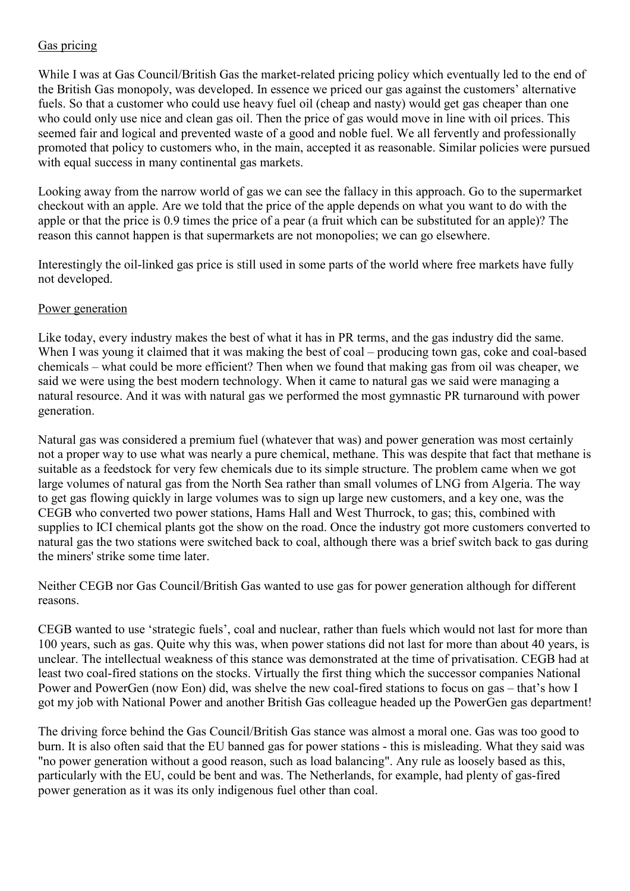### Gas pricing

While I was at Gas Council/British Gas the market-related pricing policy which eventually led to the end of the British Gas monopoly, was developed. In essence we priced our gas against the customers' alternative fuels. So that a customer who could use heavy fuel oil (cheap and nasty) would get gas cheaper than one who could only use nice and clean gas oil. Then the price of gas would move in line with oil prices. This seemed fair and logical and prevented waste of a good and noble fuel. We all fervently and professionally promoted that policy to customers who, in the main, accepted it as reasonable. Similar policies were pursued with equal success in many continental gas markets.

Looking away from the narrow world of gas we can see the fallacy in this approach. Go to the supermarket checkout with an apple. Are we told that the price of the apple depends on what you want to do with the apple or that the price is 0.9 times the price of a pear (a fruit which can be substituted for an apple)? The reason this cannot happen is that supermarkets are not monopolies; we can go elsewhere.

Interestingly the oil-linked gas price is still used in some parts of the world where free markets have fully not developed.

#### Power generation

Like today, every industry makes the best of what it has in PR terms, and the gas industry did the same. When I was young it claimed that it was making the best of coal – producing town gas, coke and coal-based chemicals – what could be more efficient? Then when we found that making gas from oil was cheaper, we said we were using the best modern technology. When it came to natural gas we said were managing a natural resource. And it was with natural gas we performed the most gymnastic PR turnaround with power generation.

Natural gas was considered a premium fuel (whatever that was) and power generation was most certainly not a proper way to use what was nearly a pure chemical, methane. This was despite that fact that methane is suitable as a feedstock for very few chemicals due to its simple structure. The problem came when we got large volumes of natural gas from the North Sea rather than small volumes of LNG from Algeria. The way to get gas flowing quickly in large volumes was to sign up large new customers, and a key one, was the CEGB who converted two power stations, Hams Hall and West Thurrock, to gas; this, combined with supplies to ICI chemical plants got the show on the road. Once the industry got more customers converted to natural gas the two stations were switched back to coal, although there was a brief switch back to gas during the miners' strike some time later.

Neither CEGB nor Gas Council/British Gas wanted to use gas for power generation although for different reasons.

CEGB wanted to use 'strategic fuels', coal and nuclear, rather than fuels which would not last for more than 100 years, such as gas. Quite why this was, when power stations did not last for more than about 40 years, is unclear. The intellectual weakness of this stance was demonstrated at the time of privatisation. CEGB had at least two coal-fired stations on the stocks. Virtually the first thing which the successor companies National Power and PowerGen (now Eon) did, was shelve the new coal-fired stations to focus on gas – that's how I got my job with National Power and another British Gas colleague headed up the PowerGen gas department!

The driving force behind the Gas Council/British Gas stance was almost a moral one. Gas was too good to burn. It is also often said that the EU banned gas for power stations - this is misleading. What they said was "no power generation without a good reason, such as load balancing". Any rule as loosely based as this, particularly with the EU, could be bent and was. The Netherlands, for example, had plenty of gas-fired power generation as it was its only indigenous fuel other than coal.